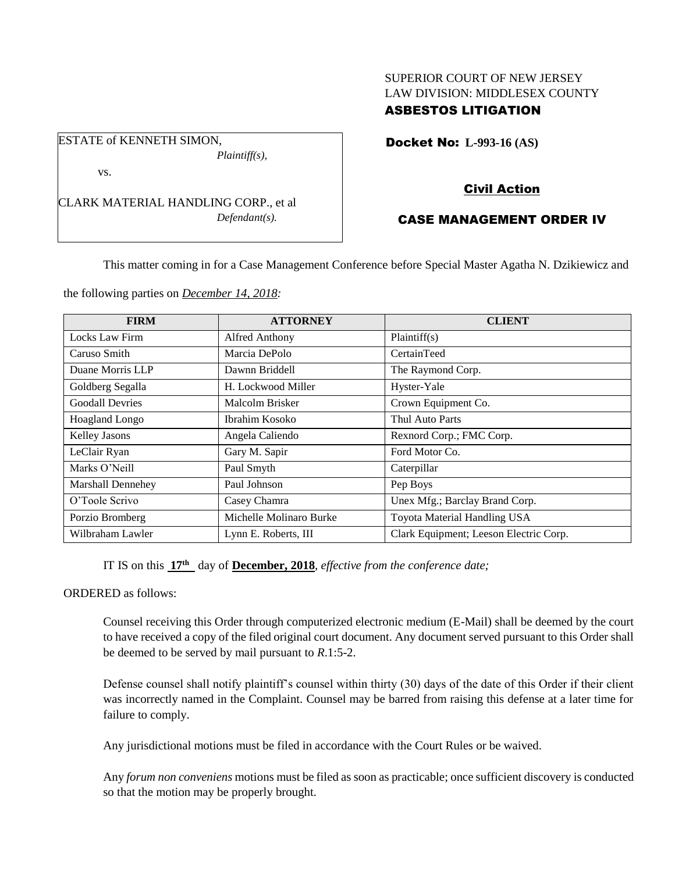# SUPERIOR COURT OF NEW JERSEY LAW DIVISION: MIDDLESEX COUNTY

## ASBESTOS LITIGATION

Docket No: **L-993-16 (AS)** 

vs.

ESTATE of KENNETH SIMON,

CLARK MATERIAL HANDLING CORP., et al *Defendant(s).*

*Plaintiff(s),*

### Civil Action

## CASE MANAGEMENT ORDER IV

This matter coming in for a Case Management Conference before Special Master Agatha N. Dzikiewicz and

the following parties on *December 14, 2018:*

| <b>FIRM</b>            | <b>ATTORNEY</b>         | <b>CLIENT</b>                          |
|------------------------|-------------------------|----------------------------------------|
| Locks Law Firm         | Alfred Anthony          | Plaintiff(s)                           |
| Caruso Smith           | Marcia DePolo           | CertainTeed                            |
| Duane Morris LLP       | Dawnn Briddell          | The Raymond Corp.                      |
| Goldberg Segalla       | H. Lockwood Miller      | Hyster-Yale                            |
| <b>Goodall Devries</b> | Malcolm Brisker         | Crown Equipment Co.                    |
| Hoagland Longo         | Ibrahim Kosoko          | Thul Auto Parts                        |
| Kelley Jasons          | Angela Caliendo         | Rexnord Corp.; FMC Corp.               |
| LeClair Ryan           | Gary M. Sapir           | Ford Motor Co.                         |
| Marks O'Neill          | Paul Smyth              | Caterpillar                            |
| Marshall Dennehey      | Paul Johnson            | Pep Boys                               |
| O'Toole Scrivo         | Casey Chamra            | Unex Mfg.; Barclay Brand Corp.         |
| Porzio Bromberg        | Michelle Molinaro Burke | Toyota Material Handling USA           |
| Wilbraham Lawler       | Lynn E. Roberts, III    | Clark Equipment; Leeson Electric Corp. |

IT IS on this **17 th** day of **December, 2018**, *effective from the conference date;*

#### ORDERED as follows:

Counsel receiving this Order through computerized electronic medium (E-Mail) shall be deemed by the court to have received a copy of the filed original court document. Any document served pursuant to this Order shall be deemed to be served by mail pursuant to *R*.1:5-2.

Defense counsel shall notify plaintiff's counsel within thirty (30) days of the date of this Order if their client was incorrectly named in the Complaint. Counsel may be barred from raising this defense at a later time for failure to comply.

Any jurisdictional motions must be filed in accordance with the Court Rules or be waived.

Any *forum non conveniens* motions must be filed as soon as practicable; once sufficient discovery is conducted so that the motion may be properly brought.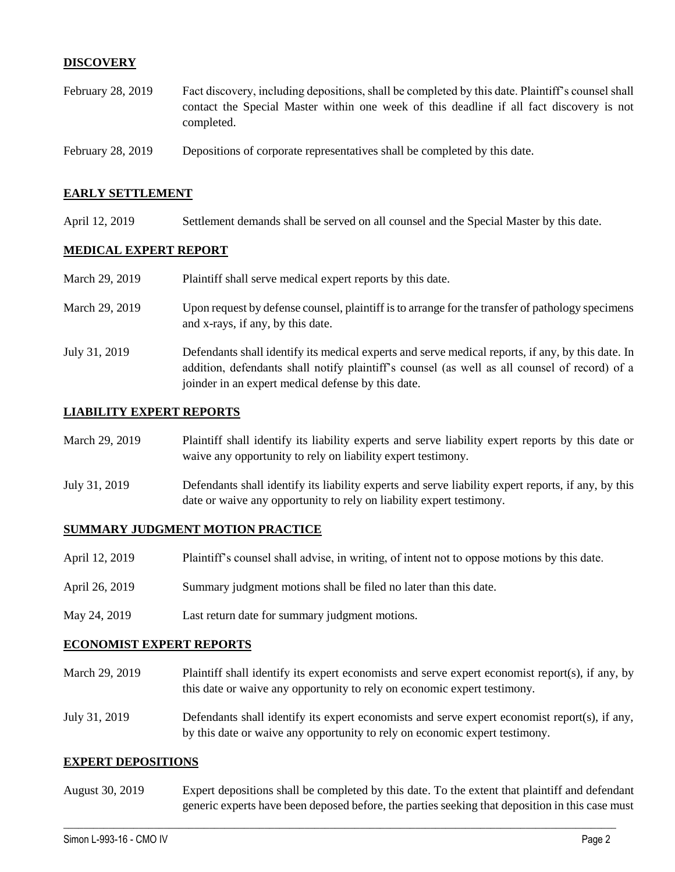#### **DISCOVERY**

- February 28, 2019 Fact discovery, including depositions, shall be completed by this date. Plaintiff's counsel shall contact the Special Master within one week of this deadline if all fact discovery is not completed.
- February 28, 2019 Depositions of corporate representatives shall be completed by this date.

#### **EARLY SETTLEMENT**

April 12, 2019 Settlement demands shall be served on all counsel and the Special Master by this date.

#### **MEDICAL EXPERT REPORT**

| March 29, 2019 | Plaintiff shall serve medical expert reports by this date.                                                                                                                                                                                               |
|----------------|----------------------------------------------------------------------------------------------------------------------------------------------------------------------------------------------------------------------------------------------------------|
| March 29, 2019 | Upon request by defense counsel, plaintiff is to arrange for the transfer of pathology specimens<br>and x-rays, if any, by this date.                                                                                                                    |
| July 31, 2019  | Defendants shall identify its medical experts and serve medical reports, if any, by this date. In<br>addition, defendants shall notify plaintiff's counsel (as well as all counsel of record) of a<br>joinder in an expert medical defense by this date. |

#### **LIABILITY EXPERT REPORTS**

| March 29, 2019 | Plaintiff shall identify its liability experts and serve liability expert reports by this date or<br>waive any opportunity to rely on liability expert testimony.           |
|----------------|-----------------------------------------------------------------------------------------------------------------------------------------------------------------------------|
| July 31, 2019  | Defendants shall identify its liability experts and serve liability expert reports, if any, by this<br>date or waive any opportunity to rely on liability expert testimony. |

#### **SUMMARY JUDGMENT MOTION PRACTICE**

| April 12, 2019 | Plaintiff's counsel shall advise, in writing, of intent not to oppose motions by this date. |
|----------------|---------------------------------------------------------------------------------------------|
| April 26, 2019 | Summary judgment motions shall be filed no later than this date.                            |
| May 24, 2019   | Last return date for summary judgment motions.                                              |

#### **ECONOMIST EXPERT REPORTS**

- March 29, 2019 Plaintiff shall identify its expert economists and serve expert economist report(s), if any, by this date or waive any opportunity to rely on economic expert testimony.
- July 31, 2019 Defendants shall identify its expert economists and serve expert economist report(s), if any, by this date or waive any opportunity to rely on economic expert testimony.

#### **EXPERT DEPOSITIONS**

August 30, 2019 Expert depositions shall be completed by this date. To the extent that plaintiff and defendant generic experts have been deposed before, the parties seeking that deposition in this case must

 $\_$  ,  $\_$  ,  $\_$  ,  $\_$  ,  $\_$  ,  $\_$  ,  $\_$  ,  $\_$  ,  $\_$  ,  $\_$  ,  $\_$  ,  $\_$  ,  $\_$  ,  $\_$  ,  $\_$  ,  $\_$  ,  $\_$  ,  $\_$  ,  $\_$  ,  $\_$  ,  $\_$  ,  $\_$  ,  $\_$  ,  $\_$  ,  $\_$  ,  $\_$  ,  $\_$  ,  $\_$  ,  $\_$  ,  $\_$  ,  $\_$  ,  $\_$  ,  $\_$  ,  $\_$  ,  $\_$  ,  $\_$  ,  $\_$  ,